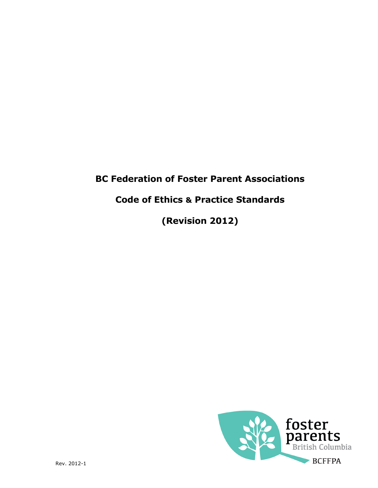# BC Federation of Foster Parent Associations

# Code of Ethics & Practice Standards

(Revision 2012)

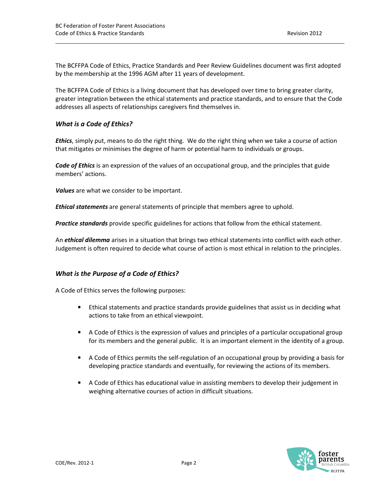The BCFFPA Code of Ethics, Practice Standards and Peer Review Guidelines document was first adopted by the membership at the 1996 AGM after 11 years of development.

The BCFFPA Code of Ethics is a living document that has developed over time to bring greater clarity, greater integration between the ethical statements and practice standards, and to ensure that the Code addresses all aspects of relationships caregivers find themselves in.

## What is a Code of Ethics?

**Ethics**, simply put, means to do the right thing. We do the right thing when we take a course of action that mitigates or minimises the degree of harm or potential harm to individuals or groups.

Code of Ethics is an expression of the values of an occupational group, and the principles that guide members' actions.

Values are what we consider to be important.

**Ethical statements** are general statements of principle that members agree to uphold.

Practice standards provide specific guidelines for actions that follow from the ethical statement.

An *ethical dilemma* arises in a situation that brings two ethical statements into conflict with each other. Judgement is often required to decide what course of action is most ethical in relation to the principles.

## What is the Purpose of a Code of Ethics?

A Code of Ethics serves the following purposes:

- Ethical statements and practice standards provide guidelines that assist us in deciding what actions to take from an ethical viewpoint.
- A Code of Ethics is the expression of values and principles of a particular occupational group for its members and the general public. It is an important element in the identity of a group.
- A Code of Ethics permits the self-regulation of an occupational group by providing a basis for developing practice standards and eventually, for reviewing the actions of its members.
- A Code of Ethics has educational value in assisting members to develop their judgement in weighing alternative courses of action in difficult situations.

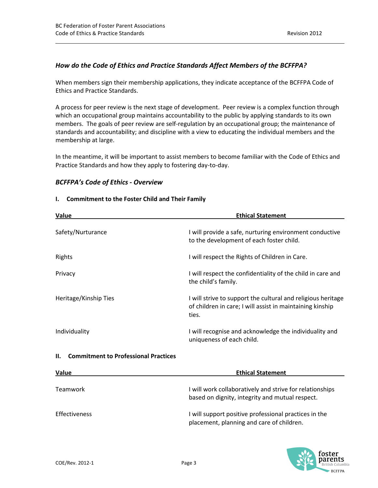# How do the Code of Ethics and Practice Standards Affect Members of the BCFFPA?

When members sign their membership applications, they indicate acceptance of the BCFFPA Code of Ethics and Practice Standards.

A process for peer review is the next stage of development. Peer review is a complex function through which an occupational group maintains accountability to the public by applying standards to its own members. The goals of peer review are self-regulation by an occupational group; the maintenance of standards and accountability; and discipline with a view to educating the individual members and the membership at large.

In the meantime, it will be important to assist members to become familiar with the Code of Ethics and Practice Standards and how they apply to fostering day-to-day.

# BCFFPA's Code of Ethics - Overview

# I. Commitment to the Foster Child and Their Family

| Value                                              | <b>Ethical Statement</b>                                                                                                           |
|----------------------------------------------------|------------------------------------------------------------------------------------------------------------------------------------|
| Safety/Nurturance                                  | I will provide a safe, nurturing environment conductive<br>to the development of each foster child.                                |
| Rights                                             | I will respect the Rights of Children in Care.                                                                                     |
| Privacy                                            | I will respect the confidentiality of the child in care and<br>the child's family.                                                 |
| Heritage/Kinship Ties                              | I will strive to support the cultural and religious heritage<br>of children in care; I will assist in maintaining kinship<br>ties. |
| Individuality                                      | I will recognise and acknowledge the individuality and<br>uniqueness of each child.                                                |
| <b>Commitment to Professional Practices</b><br>II. |                                                                                                                                    |
| Value                                              | <b>Ethical Statement</b>                                                                                                           |
| Teamwork                                           | I will work collaboratively and strive for relationships<br>based on dignity, integrity and mutual respect.                        |
| Effectiveness                                      | I will support positive professional practices in the<br>placement, planning and care of children.                                 |

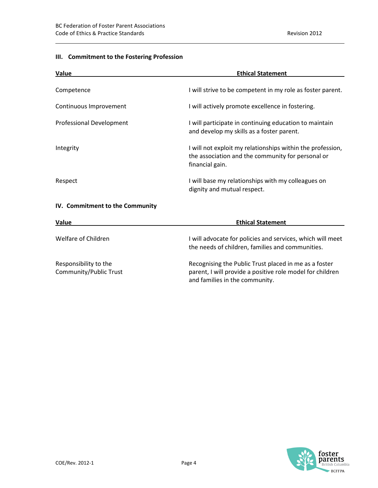# III. Commitment to the Fostering Profession

| Value                                           | <b>Ethical Statement</b>                                                                                                           |
|-------------------------------------------------|------------------------------------------------------------------------------------------------------------------------------------|
| Competence                                      | I will strive to be competent in my role as foster parent.                                                                         |
| Continuous Improvement                          | I will actively promote excellence in fostering.                                                                                   |
| Professional Development                        | I will participate in continuing education to maintain<br>and develop my skills as a foster parent.                                |
| Integrity                                       | I will not exploit my relationships within the profession,<br>the association and the community for personal or<br>financial gain. |
| Respect                                         | I will base my relationships with my colleagues on<br>dignity and mutual respect.                                                  |
| IV. Commitment to the Community                 |                                                                                                                                    |
| <b>Value</b>                                    | <b>Ethical Statement</b>                                                                                                           |
| Welfare of Children                             | I will advocate for policies and services, which will meet<br>the needs of children, families and communities.                     |
| Responsibility to the<br>Community/Public Trust | Recognising the Public Trust placed in me as a foster<br>parent, I will provide a positive role model for children                 |

and families in the community.

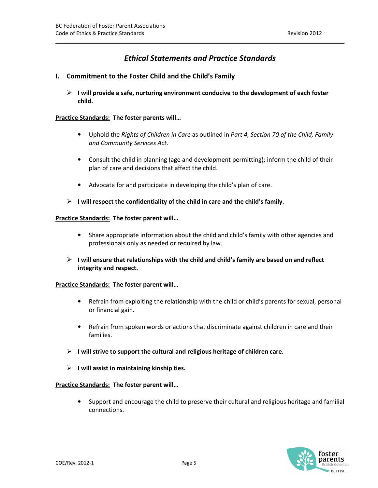# Ethical Statements and Practice Standards

## I. Commitment to the Foster Child and the Child's Family

 $\triangleright$  I will provide a safe, nurturing environment conducive to the development of each foster child.

#### Practice Standards: The foster parents will…

- Uphold the Rights of Children in Care as outlined in Part 4, Section 70 of the Child, Family and Community Services Act.
- Consult the child in planning (age and development permitting); inform the child of their plan of care and decisions that affect the child.
- Advocate for and participate in developing the child's plan of care.
- $\triangleright$  I will respect the confidentiality of the child in care and the child's family.

#### Practice Standards: The foster parent will…

- Share appropriate information about the child and child's family with other agencies and professionals only as needed or required by law.
- $\triangleright$  I will ensure that relationships with the child and child's family are based on and reflect integrity and respect.

#### Practice Standards: The foster parent will…

- Refrain from exploiting the relationship with the child or child's parents for sexual, personal or financial gain.
- Refrain from spoken words or actions that discriminate against children in care and their families.
- $\triangleright$  I will strive to support the cultural and religious heritage of children care.
- $\triangleright$  I will assist in maintaining kinship ties.

#### Practice Standards: The foster parent will…

• Support and encourage the child to preserve their cultural and religious heritage and familial connections.

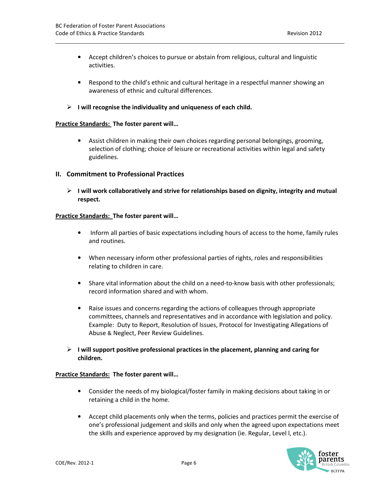- Accept children's choices to pursue or abstain from religious, cultural and linguistic activities.
- Respond to the child's ethnic and cultural heritage in a respectful manner showing an awareness of ethnic and cultural differences.
- $\triangleright$  I will recognise the individuality and uniqueness of each child.

#### Practice Standards: The foster parent will…

• Assist children in making their own choices regarding personal belongings, grooming, selection of clothing; choice of leisure or recreational activities within legal and safety guidelines.

#### II. Commitment to Professional Practices

 $\triangleright$  I will work collaboratively and strive for relationships based on dignity, integrity and mutual respect.

#### Practice Standards: The foster parent will…

- Inform all parties of basic expectations including hours of access to the home, family rules and routines.
- When necessary inform other professional parties of rights, roles and responsibilities relating to children in care.
- Share vital information about the child on a need-to-know basis with other professionals; record information shared and with whom.
- Raise issues and concerns regarding the actions of colleagues through appropriate committees, channels and representatives and in accordance with legislation and policy. Example: Duty to Report, Resolution of Issues, Protocol for Investigating Allegations of Abuse & Neglect, Peer Review Guidelines.
- $\triangleright$  I will support positive professional practices in the placement, planning and caring for children.

- Consider the needs of my biological/foster family in making decisions about taking in or retaining a child in the home.
- Accept child placements only when the terms, policies and practices permit the exercise of one's professional judgement and skills and only when the agreed upon expectations meet the skills and experience approved by my designation (ie. Regular, Level l, etc.).

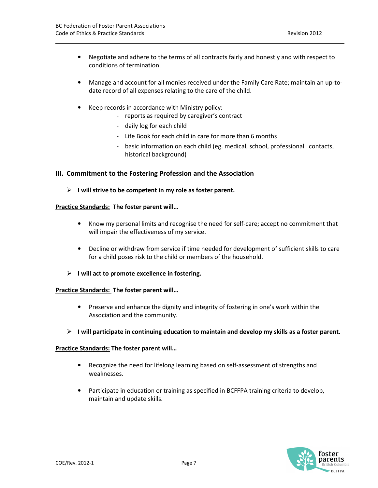- Negotiate and adhere to the terms of all contracts fairly and honestly and with respect to conditions of termination.
- Manage and account for all monies received under the Family Care Rate; maintain an up-todate record of all expenses relating to the care of the child.
- Keep records in accordance with Ministry policy:
	- reports as required by caregiver's contract
	- daily log for each child
	- Life Book for each child in care for more than 6 months
	- basic information on each child (eg. medical, school, professional contacts, historical background)

#### III. Commitment to the Fostering Profession and the Association

 $\triangleright$  I will strive to be competent in my role as foster parent.

#### Practice Standards: The foster parent will…

- Know my personal limits and recognise the need for self-care; accept no commitment that will impair the effectiveness of my service.
- Decline or withdraw from service if time needed for development of sufficient skills to care for a child poses risk to the child or members of the household.
- $\triangleright$  I will act to promote excellence in fostering.

#### Practice Standards: The foster parent will…

- Preserve and enhance the dignity and integrity of fostering in one's work within the Association and the community.
- $\triangleright$  I will participate in continuing education to maintain and develop my skills as a foster parent.

- Recognize the need for lifelong learning based on self-assessment of strengths and weaknesses.
- Participate in education or training as specified in BCFFPA training criteria to develop, maintain and update skills.

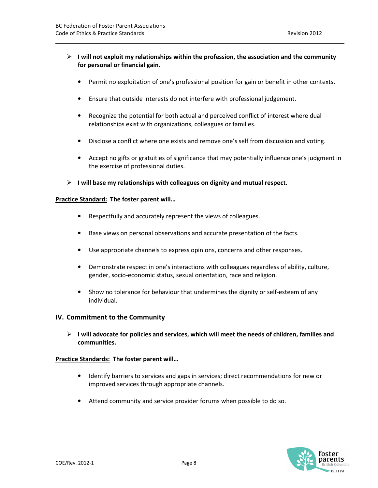- $\triangleright$  I will not exploit my relationships within the profession, the association and the community for personal or financial gain.
	- Permit no exploitation of one's professional position for gain or benefit in other contexts.
	- Ensure that outside interests do not interfere with professional judgement.
	- Recognize the potential for both actual and perceived conflict of interest where dual relationships exist with organizations, colleagues or families.
	- Disclose a conflict where one exists and remove one's self from discussion and voting.
	- Accept no gifts or gratuities of significance that may potentially influence one's judgment in the exercise of professional duties.
- $\triangleright$  I will base my relationships with colleagues on dignity and mutual respect.

#### Practice Standard: The foster parent will...

- Respectfully and accurately represent the views of colleagues.
- Base views on personal observations and accurate presentation of the facts.
- Use appropriate channels to express opinions, concerns and other responses.
- Demonstrate respect in one's interactions with colleagues regardless of ability, culture, gender, socio-economic status, sexual orientation, race and religion.
- Show no tolerance for behaviour that undermines the dignity or self-esteem of any individual.

#### IV. Commitment to the Community

 $\triangleright$  I will advocate for policies and services, which will meet the needs of children, families and communities.

- Identify barriers to services and gaps in services; direct recommendations for new or improved services through appropriate channels.
- Attend community and service provider forums when possible to do so.